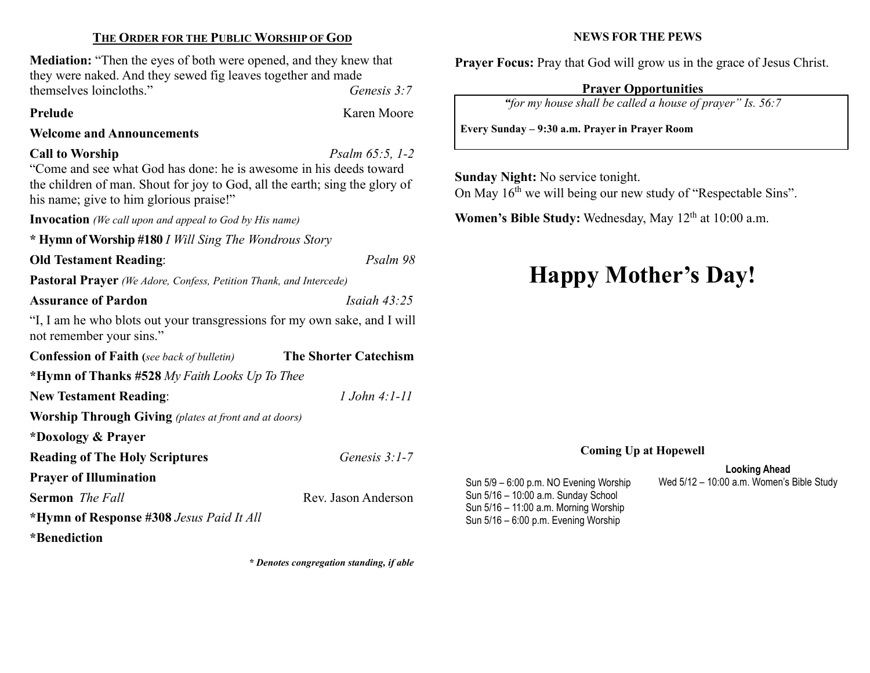#### THE ORDER FOR THE PUBLIC WORSHIP OF GOD

Mediation: "Then the eyes of both were opened, and they knew that they were naked. And they sewed fig leaves together and made themselves loincloths." Genesis 3:7

Prelude Karen Moore

#### Welcome and Announcements

#### Call to Worship  $P_{\text{Salm}}$  65:5, 1-2

"Come and see what God has done: he is awesome in his deeds toward the children of man. Shout for joy to God, all the earth; sing the glory of his name; give to him glorious praise!"

Invocation (We call upon and appeal to God by His name)

\* Hymn of Worship #180 I Will Sing The Wondrous Story

#### Old Testament Reading: Psalm 98

Pastoral Prayer (We Adore, Confess, Petition Thank, and Intercede)

#### Assurance of Pardon Isaiah 43:25

"I, I am he who blots out your transgressions for my own sake, and I will not remember your sins."

| <b>Confession of Faith</b> (see back of bulletin)            | <b>The Shorter Catechism</b> |  |  |  |
|--------------------------------------------------------------|------------------------------|--|--|--|
| *Hymn of Thanks #528 My Faith Looks Up To Thee               |                              |  |  |  |
| <b>New Testament Reading:</b>                                | $1$ . John 4: 1-11           |  |  |  |
| <b>Worship Through Giving</b> (plates at front and at doors) |                              |  |  |  |
| *Doxology & Prayer                                           |                              |  |  |  |
| <b>Reading of The Holy Scriptures</b>                        | Genesis $3:1-7$              |  |  |  |
| <b>Prayer of Illumination</b>                                |                              |  |  |  |
| <b>Sermon</b> <i>The Fall</i>                                | Rev. Jason Anderson          |  |  |  |
| *Hymn of Response #308 Jesus Paid It All                     |                              |  |  |  |
| *Benediction                                                 |                              |  |  |  |

\* Denotes congregation standing, if able

#### NEWS FOR THE PEWS

Prayer Focus: Pray that God will grow us in the grace of Jesus Christ.

#### Prayer Opportunities

"for my house shall be called a house of prayer" Is. 56:7

Every Sunday – 9:30 a.m. Prayer in Prayer Room

Sunday Night: No service tonight.

On May 16<sup>th</sup> we will being our new study of "Respectable Sins".

Women's Bible Study: Wednesday, May  $12<sup>th</sup>$  at  $10:00$  a.m.

# Happy Mother's Day!

#### Coming Up at Hopewell

Looking Ahead Sun 5/9 – 6:00 p.m. NO Evening Worship Wed 5/12 – 10:00 a.m. Women's Bible Study

Sun 5/16 – 10:00 a.m. Sunday School Sun 5/16 – 11:00 a.m. Morning Worship Sun 5/16 – 6:00 p.m. Evening Worship